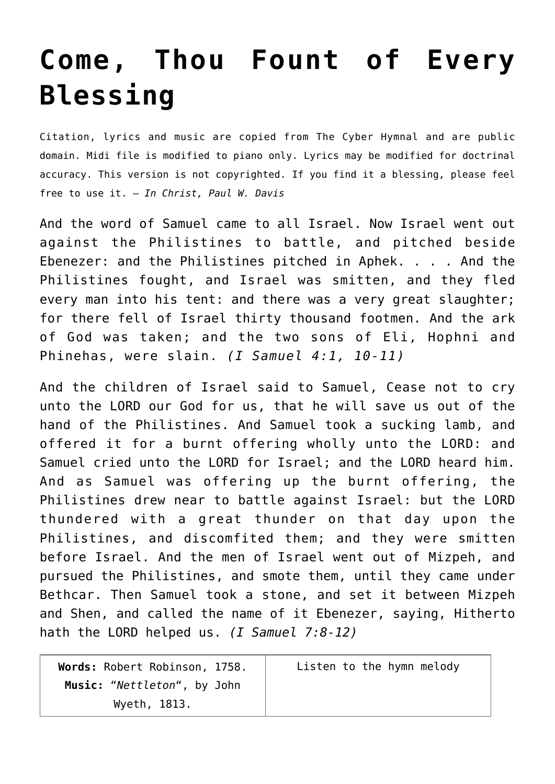## **[Come, Thou Fount of Every](http://reproachofmen.org/hymns-and-music/come-thou-fount-of-every-blessing/) [Blessing](http://reproachofmen.org/hymns-and-music/come-thou-fount-of-every-blessing/)**

Citation, lyrics and music are copied from [The Cyber Hymnal](http://www.cyberhymnal.org/) and are public domain. Midi file is modified to piano only. Lyrics may be modified for doctrinal accuracy. This version is not copyrighted. If you find it a blessing, please feel free to use it. — *In Christ, Paul W. Davis*

And the word of Samuel came to all Israel. Now Israel went out against the Philistines to battle, and pitched beside Ebenezer: and the Philistines pitched in Aphek. . . . And the Philistines fought, and Israel was smitten, and they fled every man into his tent: and there was a very great slaughter; for there fell of Israel thirty thousand footmen. And the ark of God was taken; and the two sons of Eli, Hophni and Phinehas, were slain. *(I Samuel 4:1, 10-11)*

And the children of Israel said to Samuel, Cease not to cry unto the LORD our God for us, that he will save us out of the hand of the Philistines. And Samuel took a sucking lamb, and offered it for a burnt offering wholly unto the LORD: and Samuel cried unto the LORD for Israel; and the LORD heard him. And as Samuel was offering up the burnt offering, the Philistines drew near to battle against Israel: but the LORD thundered with a great thunder on that day upon the Philistines, and discomfited them; and they were smitten before Israel. And the men of Israel went out of Mizpeh, and pursued the Philistines, and smote them, until they came under Bethcar. Then Samuel took a stone, and set it between Mizpeh and Shen, and called the name of it Ebenezer, saying, Hitherto hath the LORD helped us. *(I Samuel 7:8-12)*

| Words: Robert Robinson, 1758. | Listen to the hymn melody |
|-------------------------------|---------------------------|
| Music: "Nettleton", by John   |                           |
| Wyeth, 1813.                  |                           |